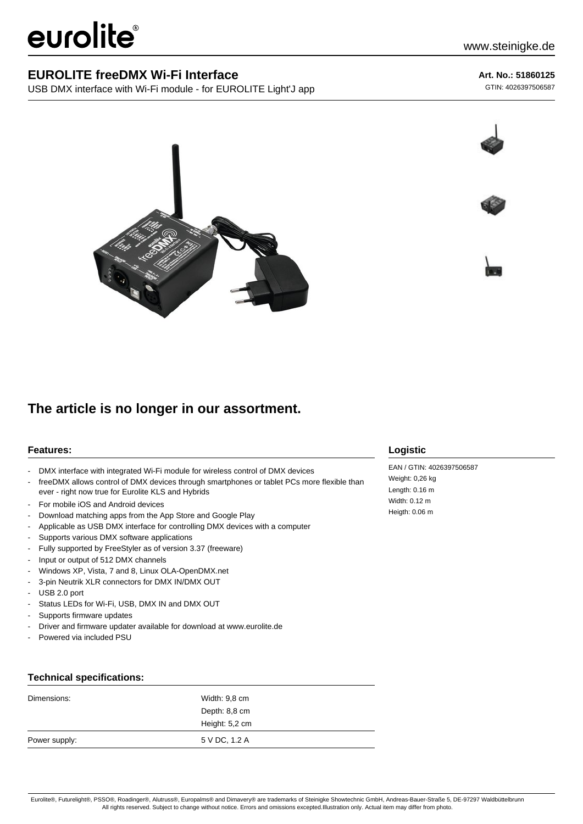# eurolite®

### **EUROLITE freeDMX Wi-Fi Interface**

USB DMX interface with Wi-Fi module - for EUROLITE Light'J app

**Art. No.: 51860125**

GTIN: 4026397506587







## **The article is no longer in our assortment.**

#### **Features:**

- DMX interface with integrated Wi-Fi module for wireless control of DMX devices
- freeDMX allows control of DMX devices through smartphones or tablet PCs more flexible than ever - right now true for Eurolite KLS and Hybrids
- For mobile iOS and Android devices
- Download matching apps from the App Store and Google Play
- Applicable as USB DMX interface for controlling DMX devices with a computer
- Supports various DMX software applications
- Fully supported by FreeStyler as of version 3.37 (freeware)
- Input or output of 512 DMX channels
- Windows XP, Vista, 7 and 8, Linux OLA-OpenDMX.net
- 3-pin Neutrik XLR connectors for DMX IN/DMX OUT
- USB 2.0 port
- Status LEDs for Wi-Fi, USB, DMX IN and DMX OUT
- Supports firmware updates
- Driver and firmware updater available for download at www.eurolite.de
- Powered via included PSU

## **Logistic**

EAN / GTIN: 4026397506587 Weight: 0,26 kg Length: 0.16 m Width: 0.12 m Heigth: 0.06 m

#### **Technical specifications:**

| Dimensions:   | Width: 9,8 cm  |  |
|---------------|----------------|--|
|               | Depth: 8,8 cm  |  |
|               | Height: 5,2 cm |  |
| Power supply: | 5 V DC, 1.2 A  |  |

Eurolite®, Futurelight®, PSSO®, Roadinger®, Alutruss®, Europalms® and Dimavery® are trademarks of Steinigke Showtechnic GmbH, Andreas-Bauer-Straße 5, DE-97297 Waldbüttelbrunn All rights reserved. Subject to change without notice. Errors and omissions excepted.Illustration only. Actual item may differ from photo.